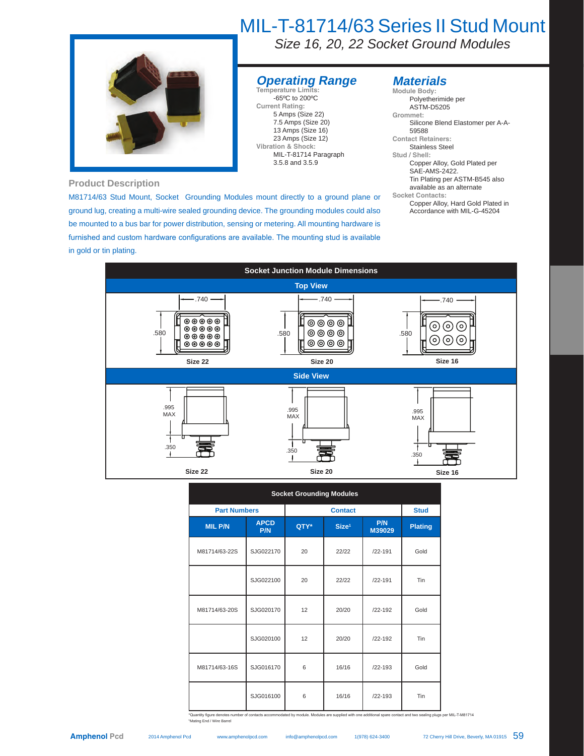# MIL-T-81714/63 Series II Stud Mount



*Size 16, 20, 22 Socket Ground Modules*

## **Operating Range Temperature Limits:**

-65ºC to 200ºC **Current Rating:** 5 Amps (Size 22) 7.5 Amps (Size 20) 13 Amps (Size 16) 23 Amps (Size 12) **Vibration & Shock:**  MIL-T-81714 Paragraph 3.5.8 and 3.5.9

### **Materials**

**Module Body:** Polyetherimide per ASTM-D5205 **Grommet:**  Silicone Blend Elastomer per A-A-59588 **Contact Retainers:** Stainless Steel **Stud / Shell:** Copper Alloy, Gold Plated per SAE-AMS-2422. Tin Plating per ASTM-B545 also available as an alternate **Socket Contacts:**

#### Copper Alloy, Hard Gold Plated in Accordance with MIL-G-45204

M81714/63 Stud Mount, Socket Grounding Modules mount directly to a ground plane or

**Product Description**

ground lug, creating a multi-wire sealed grounding device. The grounding modules could also be mounted to a bus bar for power distribution, sensing or metering. All mounting hardware is furnished and custom hardware configurations are available. The mounting stud is available in gold or tin plating.



| <b>Socket Grounding Modules</b> |                    |                |                   |               |                |  |  |  |  |
|---------------------------------|--------------------|----------------|-------------------|---------------|----------------|--|--|--|--|
| <b>Part Numbers</b>             |                    | <b>Contact</b> |                   |               | <b>Stud</b>    |  |  |  |  |
| <b>MIL P/N</b>                  | <b>APCD</b><br>P/N | QTY*           | Size <sup>1</sup> | P/N<br>M39029 | <b>Plating</b> |  |  |  |  |
| M81714/63-22S                   | SJG022170          | 20             | 22/22             | $/22 - 191$   | Gold           |  |  |  |  |
|                                 | SJG022100          | 20             | 22/22             | $/22 - 191$   | Tin            |  |  |  |  |
| M81714/63-20S                   | SJG020170          | 12             | 20/20             | $/22 - 192$   | Gold           |  |  |  |  |
|                                 | SJG020100          | 12             | 20/20             | $/22 - 192$   | Tin            |  |  |  |  |
| M81714/63-16S                   | SJG016170          | 6              | 16/16             | $/22 - 193$   | Gold           |  |  |  |  |
|                                 | SJG016100          | 6              | 16/16             | $/22 - 193$   | Tin            |  |  |  |  |

odule. Modules are supplied with one additional spare contact and two sealing plugs per MIL-T-M81714 1 Mating End / Wire Barrel